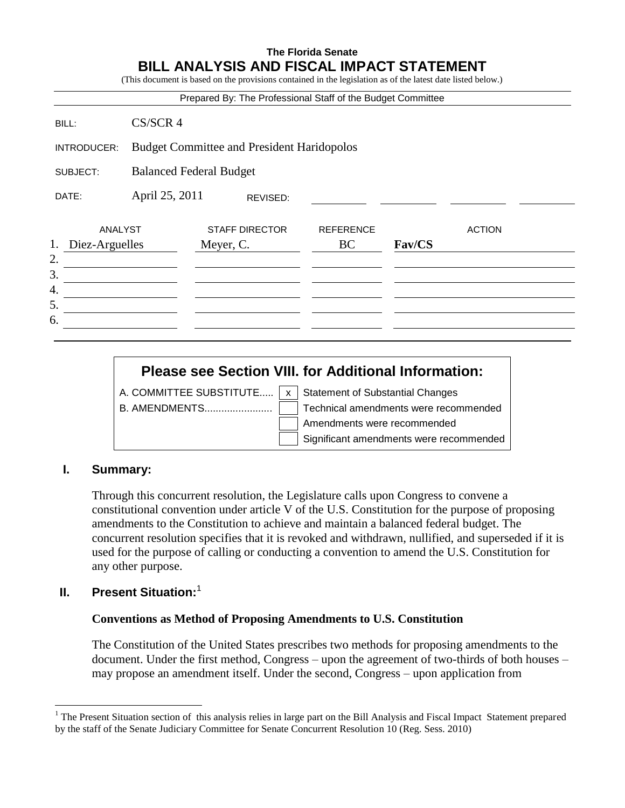# **The Florida Senate BILL ANALYSIS AND FISCAL IMPACT STATEMENT**

(This document is based on the provisions contained in the legislation as of the latest date listed below.)

|                                 |                                                   | Prepared By: The Professional Staff of the Budget Committee |                        |        |               |  |
|---------------------------------|---------------------------------------------------|-------------------------------------------------------------|------------------------|--------|---------------|--|
| BILL:                           | $CS/SCR$ 4                                        |                                                             |                        |        |               |  |
| INTRODUCER:                     | <b>Budget Committee and President Haridopolos</b> |                                                             |                        |        |               |  |
| SUBJECT:                        |                                                   | <b>Balanced Federal Budget</b>                              |                        |        |               |  |
| DATE:                           | April 25, 2011<br>REVISED:                        |                                                             |                        |        |               |  |
| ANALYST<br>1.<br>Diez-Arguelles |                                                   | <b>STAFF DIRECTOR</b><br>Meyer, C.                          | <b>REFERENCE</b><br>BC | Fav/CS | <b>ACTION</b> |  |
| 2.<br>3.<br>4.                  |                                                   |                                                             |                        |        |               |  |
| 5.<br>6.                        |                                                   |                                                             |                        |        |               |  |

# **Please see Section VIII. for Additional Information:**

A. COMMITTEE SUBSTITUTE.....  $x \mid x$  Statement of Substantial Changes

B. AMENDMENTS........................ Technical amendments were recommended Amendments were recommended Significant amendments were recommended

# **I. Summary:**

Through this concurrent resolution, the Legislature calls upon Congress to convene a constitutional convention under article V of the U.S. Constitution for the purpose of proposing amendments to the Constitution to achieve and maintain a balanced federal budget. The concurrent resolution specifies that it is revoked and withdrawn, nullified, and superseded if it is used for the purpose of calling or conducting a convention to amend the U.S. Constitution for any other purpose.

# **II. Present Situation:**<sup>1</sup>

 $\overline{a}$ 

#### **Conventions as Method of Proposing Amendments to U.S. Constitution**

The Constitution of the United States prescribes two methods for proposing amendments to the document. Under the first method, Congress – upon the agreement of two-thirds of both houses – may propose an amendment itself. Under the second, Congress – upon application from

<sup>&</sup>lt;sup>1</sup> The Present Situation section of this analysis relies in large part on the Bill Analysis and Fiscal Impact Statement prepared by the staff of the Senate Judiciary Committee for Senate Concurrent Resolution 10 (Reg. Sess. 2010)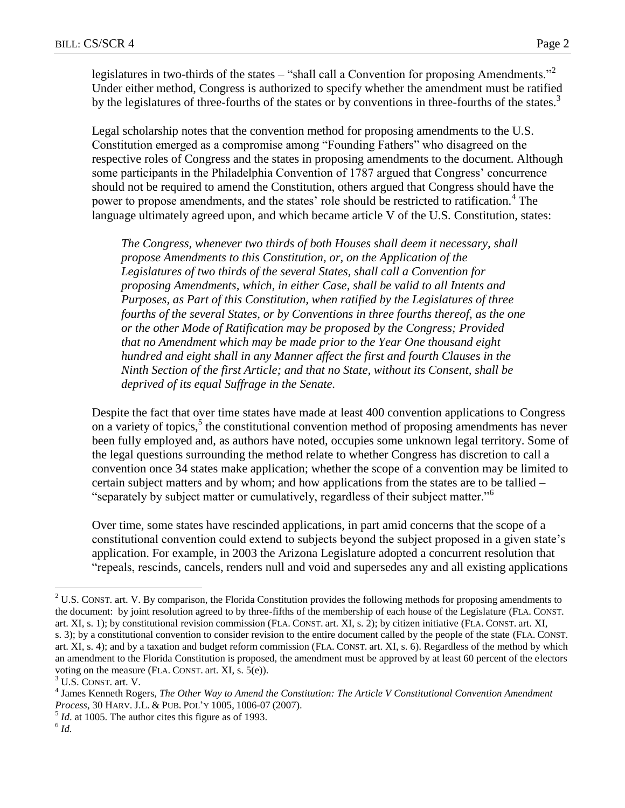legislatures in two-thirds of the states – "shall call a Convention for proposing Amendments."<sup>2</sup> Under either method, Congress is authorized to specify whether the amendment must be ratified by the legislatures of three-fourths of the states or by conventions in three-fourths of the states.<sup>3</sup>

Legal scholarship notes that the convention method for proposing amendments to the U.S. Constitution emerged as a compromise among "Founding Fathers" who disagreed on the respective roles of Congress and the states in proposing amendments to the document. Although some participants in the Philadelphia Convention of 1787 argued that Congress' concurrence should not be required to amend the Constitution, others argued that Congress should have the power to propose amendments, and the states' role should be restricted to ratification.<sup>4</sup> The language ultimately agreed upon, and which became article V of the U.S. Constitution, states:

*The Congress, whenever two thirds of both Houses shall deem it necessary, shall propose Amendments to this Constitution, or, on the Application of the Legislatures of two thirds of the several States, shall call a Convention for proposing Amendments, which, in either Case, shall be valid to all Intents and Purposes, as Part of this Constitution, when ratified by the Legislatures of three fourths of the several States, or by Conventions in three fourths thereof, as the one or the other Mode of Ratification may be proposed by the Congress; Provided that no Amendment which may be made prior to the Year One thousand eight hundred and eight shall in any Manner affect the first and fourth Clauses in the Ninth Section of the first Article; and that no State, without its Consent, shall be deprived of its equal Suffrage in the Senate.*

Despite the fact that over time states have made at least 400 convention applications to Congress on a variety of topics, $5$  the constitutional convention method of proposing amendments has never been fully employed and, as authors have noted, occupies some unknown legal territory. Some of the legal questions surrounding the method relate to whether Congress has discretion to call a convention once 34 states make application; whether the scope of a convention may be limited to certain subject matters and by whom; and how applications from the states are to be tallied – "separately by subject matter or cumulatively, regardless of their subject matter."<sup>6</sup>

Over time, some states have rescinded applications, in part amid concerns that the scope of a constitutional convention could extend to subjects beyond the subject proposed in a given state's application. For example, in 2003 the Arizona Legislature adopted a concurrent resolution that "repeals, rescinds, cancels, renders null and void and supersedes any and all existing applications

 $<sup>5</sup>$  *Id*. at 1005. The author cites this figure as of 1993.</sup>

 $\overline{a}$ 

 $2$  U.S. CONST. art. V. By comparison, the Florida Constitution provides the following methods for proposing amendments to the document: by joint resolution agreed to by three-fifths of the membership of each house of the Legislature (FLA. CONST. art. XI, s. 1); by constitutional revision commission (FLA. CONST. art. XI, s. 2); by citizen initiative (FLA. CONST. art. XI, s. 3); by a constitutional convention to consider revision to the entire document called by the people of the state (FLA. CONST. art. XI, s. 4); and by a taxation and budget reform commission (FLA. CONST. art. XI, s. 6). Regardless of the method by which an amendment to the Florida Constitution is proposed, the amendment must be approved by at least 60 percent of the electors voting on the measure (FLA. CONST. art. XI, s. 5(e)).

<sup>&</sup>lt;sup>3</sup> U.S. CONST. art. V.

<sup>4</sup> James Kenneth Rogers, *The Other Way to Amend the Constitution: The Article V Constitutional Convention Amendment Process*, 30 HARV. J.L. & PUB. POL'Y 1005, 1006-07 (2007).

<sup>6</sup> *Id.*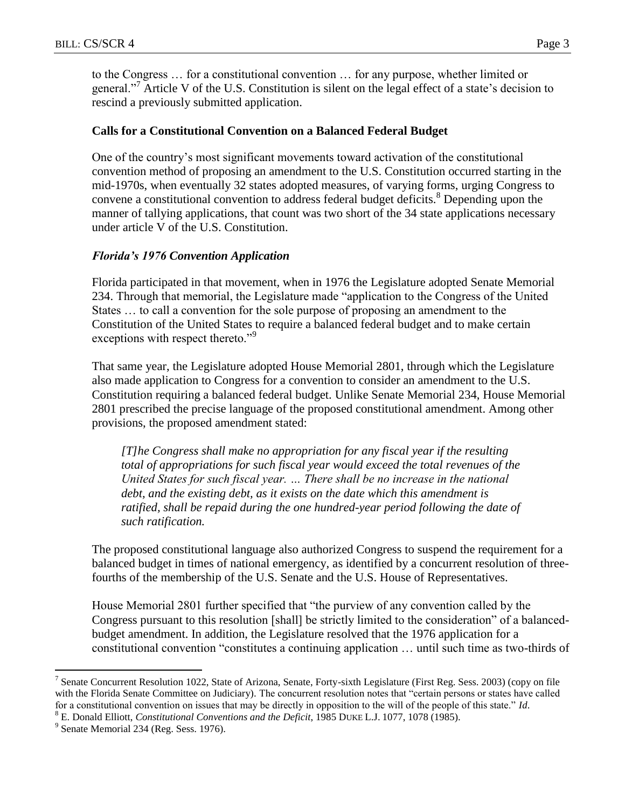to the Congress … for a constitutional convention … for any purpose, whether limited or general."<sup>7</sup> Article V of the U.S. Constitution is silent on the legal effect of a state's decision to rescind a previously submitted application.

## **Calls for a Constitutional Convention on a Balanced Federal Budget**

One of the country's most significant movements toward activation of the constitutional convention method of proposing an amendment to the U.S. Constitution occurred starting in the mid-1970s, when eventually 32 states adopted measures, of varying forms, urging Congress to convene a constitutional convention to address federal budget deficits.<sup>8</sup> Depending upon the manner of tallying applications, that count was two short of the 34 state applications necessary under article V of the U.S. Constitution.

## *Florida's 1976 Convention Application*

Florida participated in that movement, when in 1976 the Legislature adopted Senate Memorial 234. Through that memorial, the Legislature made "application to the Congress of the United States … to call a convention for the sole purpose of proposing an amendment to the Constitution of the United States to require a balanced federal budget and to make certain exceptions with respect thereto."<sup>9</sup>

That same year, the Legislature adopted House Memorial 2801, through which the Legislature also made application to Congress for a convention to consider an amendment to the U.S. Constitution requiring a balanced federal budget. Unlike Senate Memorial 234, House Memorial 2801 prescribed the precise language of the proposed constitutional amendment. Among other provisions, the proposed amendment stated:

*[T]he Congress shall make no appropriation for any fiscal year if the resulting total of appropriations for such fiscal year would exceed the total revenues of the United States for such fiscal year. … There shall be no increase in the national debt, and the existing debt, as it exists on the date which this amendment is ratified, shall be repaid during the one hundred-year period following the date of such ratification.*

The proposed constitutional language also authorized Congress to suspend the requirement for a balanced budget in times of national emergency, as identified by a concurrent resolution of threefourths of the membership of the U.S. Senate and the U.S. House of Representatives.

House Memorial 2801 further specified that "the purview of any convention called by the Congress pursuant to this resolution [shall] be strictly limited to the consideration" of a balancedbudget amendment. In addition, the Legislature resolved that the 1976 application for a constitutional convention "constitutes a continuing application … until such time as two-thirds of

 $\overline{a}$ 

<sup>&</sup>lt;sup>7</sup> Senate Concurrent Resolution 1022, State of Arizona, Senate, Forty-sixth Legislature (First Reg. Sess. 2003) (copy on file with the Florida Senate Committee on Judiciary). The concurrent resolution notes that "certain persons or states have called for a constitutional convention on issues that may be directly in opposition to the will of the people of this state." *Id*.

<sup>8</sup> E. Donald Elliott, *Constitutional Conventions and the Deficit*, 1985 DUKE L.J. 1077, 1078 (1985).

<sup>&</sup>lt;sup>9</sup> Senate Memorial 234 (Reg. Sess. 1976).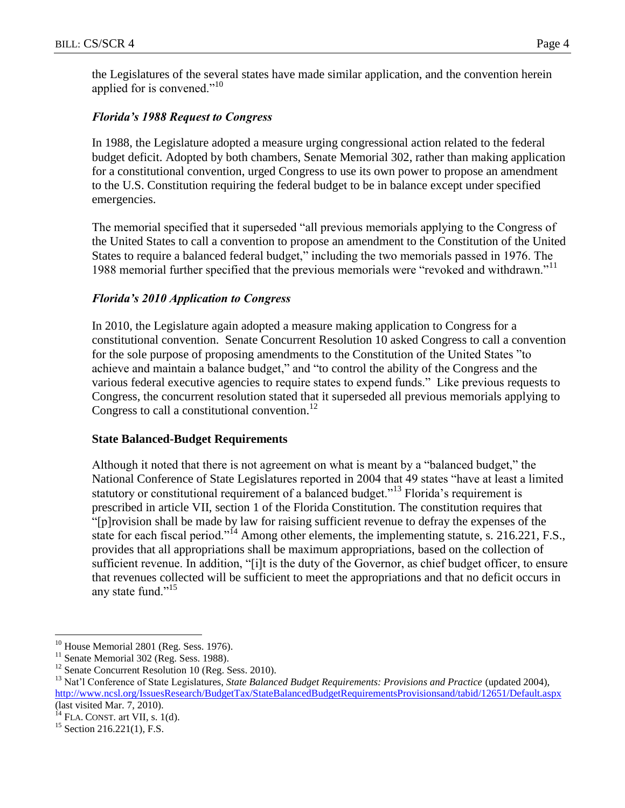the Legislatures of the several states have made similar application, and the convention herein applied for is convened."<sup>10</sup>

## *Florida's 1988 Request to Congress*

In 1988, the Legislature adopted a measure urging congressional action related to the federal budget deficit. Adopted by both chambers, Senate Memorial 302, rather than making application for a constitutional convention, urged Congress to use its own power to propose an amendment to the U.S. Constitution requiring the federal budget to be in balance except under specified emergencies.

The memorial specified that it superseded "all previous memorials applying to the Congress of the United States to call a convention to propose an amendment to the Constitution of the United States to require a balanced federal budget," including the two memorials passed in 1976. The 1988 memorial further specified that the previous memorials were "revoked and withdrawn."<sup>11</sup>

# *Florida's 2010 Application to Congress*

In 2010, the Legislature again adopted a measure making application to Congress for a constitutional convention. Senate Concurrent Resolution 10 asked Congress to call a convention for the sole purpose of proposing amendments to the Constitution of the United States "to achieve and maintain a balance budget," and "to control the ability of the Congress and the various federal executive agencies to require states to expend funds." Like previous requests to Congress, the concurrent resolution stated that it superseded all previous memorials applying to Congress to call a constitutional convention.<sup>12</sup>

#### **State Balanced-Budget Requirements**

Although it noted that there is not agreement on what is meant by a "balanced budget," the National Conference of State Legislatures reported in 2004 that 49 states "have at least a limited statutory or constitutional requirement of a balanced budget."<sup>13</sup> Florida's requirement is prescribed in article VII, section 1 of the Florida Constitution. The constitution requires that "[p]rovision shall be made by law for raising sufficient revenue to defray the expenses of the state for each fiscal period."<sup>14</sup> Among other elements, the implementing statute, s. 216.221, F.S., provides that all appropriations shall be maximum appropriations, based on the collection of sufficient revenue. In addition, "[i]t is the duty of the Governor, as chief budget officer, to ensure that revenues collected will be sufficient to meet the appropriations and that no deficit occurs in any state fund."<sup>15</sup>

 $\overline{a}$ 

 $10$  House Memorial 2801 (Reg. Sess. 1976).

<sup>&</sup>lt;sup>11</sup> Senate Memorial 302 (Reg. Sess. 1988).

<sup>&</sup>lt;sup>12</sup> Senate Concurrent Resolution 10 (Reg. Sess. 2010).

<sup>&</sup>lt;sup>13</sup> Nat'l Conference of State Legislatures, *State Balanced Budget Requirements: Provisions and Practice* (updated 2004), <http://www.ncsl.org/IssuesResearch/BudgetTax/StateBalancedBudgetRequirementsProvisionsand/tabid/12651/Default.aspx> (last visited Mar. 7, 2010).

 $^{14}$  FLA. CONST. art VII, s. 1(d).

 $15$  Section 216.221(1), F.S.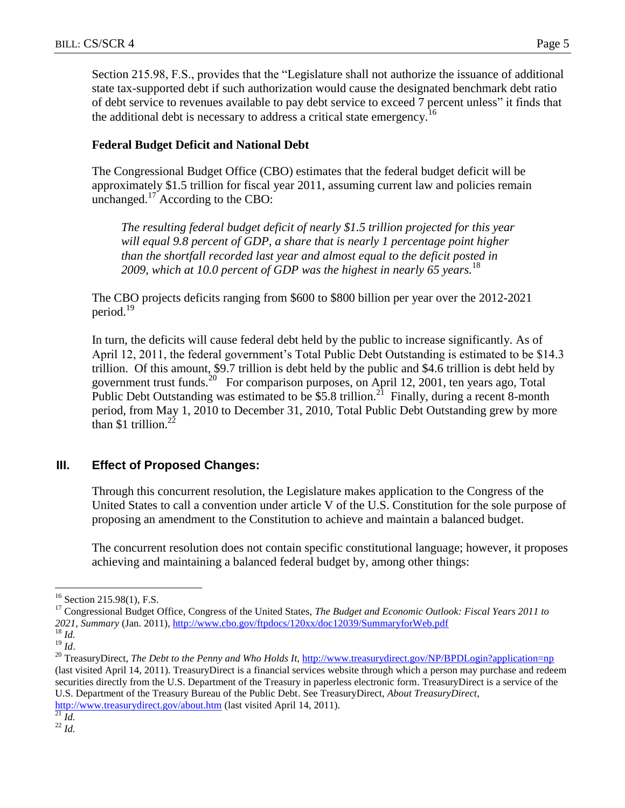Section 215.98, F.S., provides that the "Legislature shall not authorize the issuance of additional state tax-supported debt if such authorization would cause the designated benchmark debt ratio of debt service to revenues available to pay debt service to exceed 7 percent unless" it finds that the additional debt is necessary to address a critical state emergency.<sup>16</sup>

## **Federal Budget Deficit and National Debt**

The Congressional Budget Office (CBO) estimates that the federal budget deficit will be approximately \$1.5 trillion for fiscal year 2011, assuming current law and policies remain unchanged.<sup>17</sup> According to the CBO:

*The resulting federal budget deficit of nearly \$1.5 trillion projected for this year will equal 9.8 percent of GDP, a share that is nearly 1 percentage point higher than the shortfall recorded last year and almost equal to the deficit posted in 2009, which at 10.0 percent of GDP was the highest in nearly 65 years.* 18

The CBO projects deficits ranging from \$600 to \$800 billion per year over the 2012-2021 period.<sup>19</sup>

In turn, the deficits will cause federal debt held by the public to increase significantly. As of April 12, 2011, the federal government's Total Public Debt Outstanding is estimated to be \$14.3 trillion. Of this amount, \$9.7 trillion is debt held by the public and \$4.6 trillion is debt held by government trust funds.<sup>20</sup> For comparison purposes, on April 12, 2001, ten years ago, Total Public Debt Outstanding was estimated to be  $$5.8$  trillion.<sup>21</sup> Finally, during a recent 8-month period, from May 1, 2010 to December 31, 2010, Total Public Debt Outstanding grew by more than \$1 trillion. $^{22}$ 

# **III. Effect of Proposed Changes:**

Through this concurrent resolution, the Legislature makes application to the Congress of the United States to call a convention under article V of the U.S. Constitution for the sole purpose of proposing an amendment to the Constitution to achieve and maintain a balanced budget.

The concurrent resolution does not contain specific constitutional language; however, it proposes achieving and maintaining a balanced federal budget by, among other things:

 $\overline{a}$ 

<sup>20</sup> TreasuryDirect, *The Debt to the Penny and Who Holds It*,<http://www.treasurydirect.gov/NP/BPDLogin?application=np> (last visited April 14, 2011). TreasuryDirect is a financial services website through which a person may purchase and redeem securities directly from the U.S. Department of the Treasury in paperless electronic form. TreasuryDirect is a service of the U.S. Department of the Treasury Bureau of the Public Debt. See TreasuryDirect, *About TreasuryDirect*,

<http://www.treasurydirect.gov/about.htm> (last visited April 14, 2011).

 $^{22}$  *Id.* 

<sup>&</sup>lt;sup>16</sup> Section 215.98(1), F.S.

<sup>17</sup> Congressional Budget Office, Congress of the United States, *The Budget and Economic Outlook: Fiscal Years 2011 to 2021, Summary* (Jan. 2011),<http://www.cbo.gov/ftpdocs/120xx/doc12039/SummaryforWeb.pdf> <sup>18</sup> *Id.*

<sup>19</sup> *Id*.

 $^{21}$  *Id.*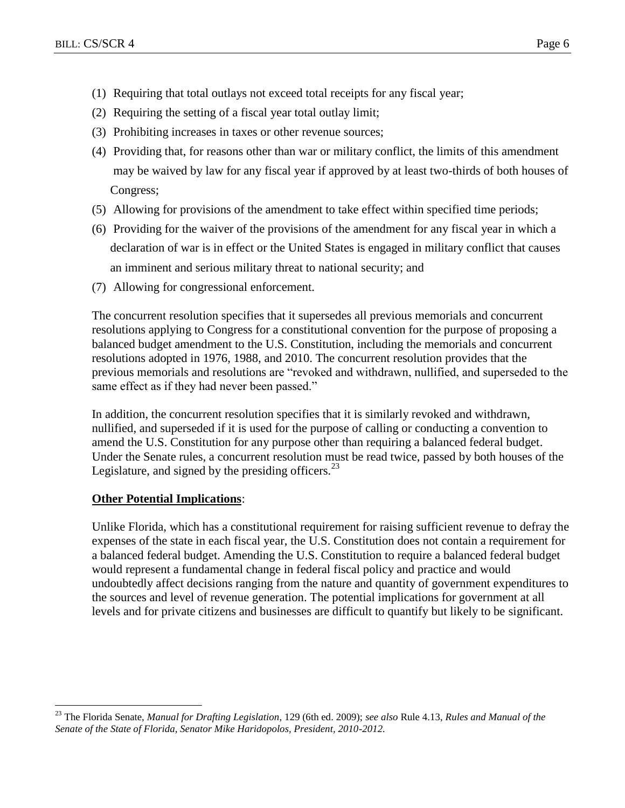- (1) Requiring that total outlays not exceed total receipts for any fiscal year;
- (2) Requiring the setting of a fiscal year total outlay limit;
- (3) Prohibiting increases in taxes or other revenue sources;
- (4) Providing that, for reasons other than war or military conflict, the limits of this amendment may be waived by law for any fiscal year if approved by at least two-thirds of both houses of Congress;
- (5) Allowing for provisions of the amendment to take effect within specified time periods;
- (6) Providing for the waiver of the provisions of the amendment for any fiscal year in which a declaration of war is in effect or the United States is engaged in military conflict that causes an imminent and serious military threat to national security; and
- (7) Allowing for congressional enforcement.

The concurrent resolution specifies that it supersedes all previous memorials and concurrent resolutions applying to Congress for a constitutional convention for the purpose of proposing a balanced budget amendment to the U.S. Constitution, including the memorials and concurrent resolutions adopted in 1976, 1988, and 2010. The concurrent resolution provides that the previous memorials and resolutions are "revoked and withdrawn, nullified, and superseded to the same effect as if they had never been passed."

In addition, the concurrent resolution specifies that it is similarly revoked and withdrawn, nullified, and superseded if it is used for the purpose of calling or conducting a convention to amend the U.S. Constitution for any purpose other than requiring a balanced federal budget. Under the Senate rules, a concurrent resolution must be read twice, passed by both houses of the Legislature, and signed by the presiding officers. $^{23}$ 

# **Other Potential Implications**:

 $\overline{a}$ 

Unlike Florida, which has a constitutional requirement for raising sufficient revenue to defray the expenses of the state in each fiscal year, the U.S. Constitution does not contain a requirement for a balanced federal budget. Amending the U.S. Constitution to require a balanced federal budget would represent a fundamental change in federal fiscal policy and practice and would undoubtedly affect decisions ranging from the nature and quantity of government expenditures to the sources and level of revenue generation. The potential implications for government at all levels and for private citizens and businesses are difficult to quantify but likely to be significant.

<sup>23</sup> The Florida Senate, *Manual for Drafting Legislation*, 129 (6th ed. 2009); *see also* Rule 4.13, *Rules and Manual of the Senate of the State of Florida, Senator Mike Haridopolos, President, 2010-2012.*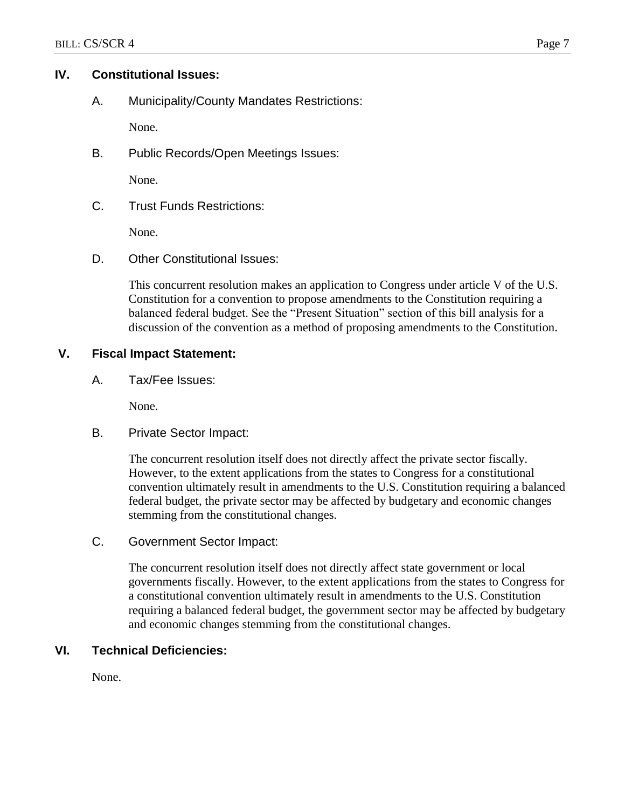## **IV. Constitutional Issues:**

A. Municipality/County Mandates Restrictions:

None.

B. Public Records/Open Meetings Issues:

None.

C. Trust Funds Restrictions:

None.

D. Other Constitutional Issues:

This concurrent resolution makes an application to Congress under article V of the U.S. Constitution for a convention to propose amendments to the Constitution requiring a balanced federal budget. See the "Present Situation" section of this bill analysis for a discussion of the convention as a method of proposing amendments to the Constitution.

## **V. Fiscal Impact Statement:**

A. Tax/Fee Issues:

None.

B. Private Sector Impact:

The concurrent resolution itself does not directly affect the private sector fiscally. However, to the extent applications from the states to Congress for a constitutional convention ultimately result in amendments to the U.S. Constitution requiring a balanced federal budget, the private sector may be affected by budgetary and economic changes stemming from the constitutional changes.

C. Government Sector Impact:

The concurrent resolution itself does not directly affect state government or local governments fiscally. However, to the extent applications from the states to Congress for a constitutional convention ultimately result in amendments to the U.S. Constitution requiring a balanced federal budget, the government sector may be affected by budgetary and economic changes stemming from the constitutional changes.

## **VI. Technical Deficiencies:**

None.